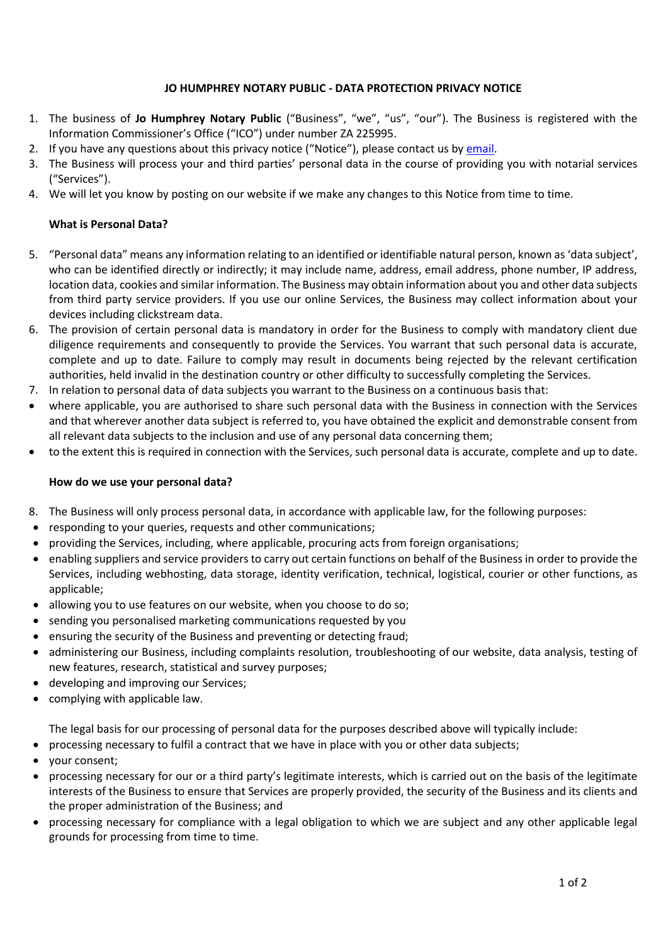# **JO HUMPHREY NOTARY PUBLIC - DATA PROTECTION PRIVACY NOTICE**

- 1. The business of **Jo Humphrey Notary Public** ("Business", "we", "us", "our"). The Business is registered with the Information Commissioner's Office ("ICO") under number ZA 225995.
- 2. If you have any questions about this privacy notice ("Notice"), please contact us b[y email.](mailto:jo@johumphreynotary.co.uk?subject=Data%20Privacy)
- 3. The Business will process your and third parties' personal data in the course of providing you with notarial services ("Services").
- 4. We will let you know by posting on our website if we make any changes to this Notice from time to time.

### **What is Personal Data?**

- 5. "Personal data" means any information relating to an identified or identifiable natural person, known as 'data subject', who can be identified directly or indirectly; it may include name, address, email address, phone number, IP address, location data, cookies and similar information. The Business may obtain information about you and other data subjects from third party service providers. If you use our online Services, the Business may collect information about your devices including clickstream data.
- 6. The provision of certain personal data is mandatory in order for the Business to comply with mandatory client due diligence requirements and consequently to provide the Services. You warrant that such personal data is accurate, complete and up to date. Failure to comply may result in documents being rejected by the relevant certification authorities, held invalid in the destination country or other difficulty to successfully completing the Services.
- 7. In relation to personal data of data subjects you warrant to the Business on a continuous basis that:
- where applicable, you are authorised to share such personal data with the Business in connection with the Services and that wherever another data subject is referred to, you have obtained the explicit and demonstrable consent from all relevant data subjects to the inclusion and use of any personal data concerning them;
- to the extent this is required in connection with the Services, such personal data is accurate, complete and up to date.

### **How do we use your personal data?**

- 8. The Business will only process personal data, in accordance with applicable law, for the following purposes:
- responding to your queries, requests and other communications;
- providing the Services, including, where applicable, procuring acts from foreign organisations;
- enabling suppliers and service providers to carry out certain functions on behalf of the Business in order to provide the Services, including webhosting, data storage, identity verification, technical, logistical, courier or other functions, as applicable;
- allowing you to use features on our website, when you choose to do so;
- sending you personalised marketing communications requested by you
- ensuring the security of the Business and preventing or detecting fraud;
- administering our Business, including complaints resolution, troubleshooting of our website, data analysis, testing of new features, research, statistical and survey purposes;
- developing and improving our Services;
- complying with applicable law.

The legal basis for our processing of personal data for the purposes described above will typically include:

- processing necessary to fulfil a contract that we have in place with you or other data subjects;
- your consent;
- processing necessary for our or a third party's legitimate interests, which is carried out on the basis of the legitimate interests of the Business to ensure that Services are properly provided, the security of the Business and its clients and the proper administration of the Business; and
- processing necessary for compliance with a legal obligation to which we are subject and any other applicable legal grounds for processing from time to time.